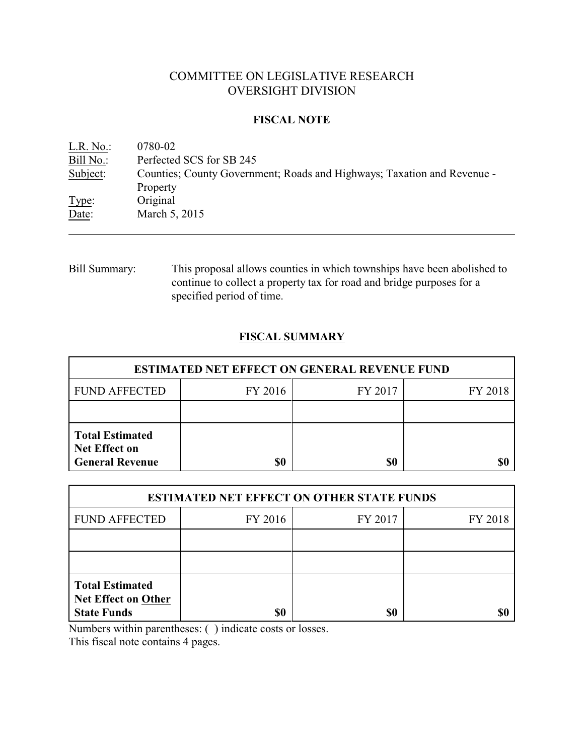# COMMITTEE ON LEGISLATIVE RESEARCH OVERSIGHT DIVISION

### **FISCAL NOTE**

<u>L.R. No.</u>: 0780-02<br>Bill No.: Perfected Perfected SCS for SB 245 Subject: Counties; County Government; Roads and Highways; Taxation and Revenue - Property Type: Original Date: March 5, 2015

Bill Summary: This proposal allows counties in which townships have been abolished to continue to collect a property tax for road and bridge purposes for a specified period of time.

# **FISCAL SUMMARY**

| <b>ESTIMATED NET EFFECT ON GENERAL REVENUE FUND</b>                      |           |         |         |  |
|--------------------------------------------------------------------------|-----------|---------|---------|--|
| <b>FUND AFFECTED</b>                                                     | FY 2016   | FY 2017 | FY 2018 |  |
|                                                                          |           |         |         |  |
| <b>Total Estimated</b><br><b>Net Effect on</b><br><b>General Revenue</b> | <b>SO</b> | \$0     |         |  |

| <b>ESTIMATED NET EFFECT ON OTHER STATE FUNDS</b>                           |         |         |         |  |
|----------------------------------------------------------------------------|---------|---------|---------|--|
| <b>FUND AFFECTED</b>                                                       | FY 2016 | FY 2017 | FY 2018 |  |
|                                                                            |         |         |         |  |
|                                                                            |         |         |         |  |
| <b>Total Estimated</b><br><b>Net Effect on Other</b><br><b>State Funds</b> | \$0     | \$0     |         |  |

Numbers within parentheses: ( ) indicate costs or losses.

This fiscal note contains 4 pages.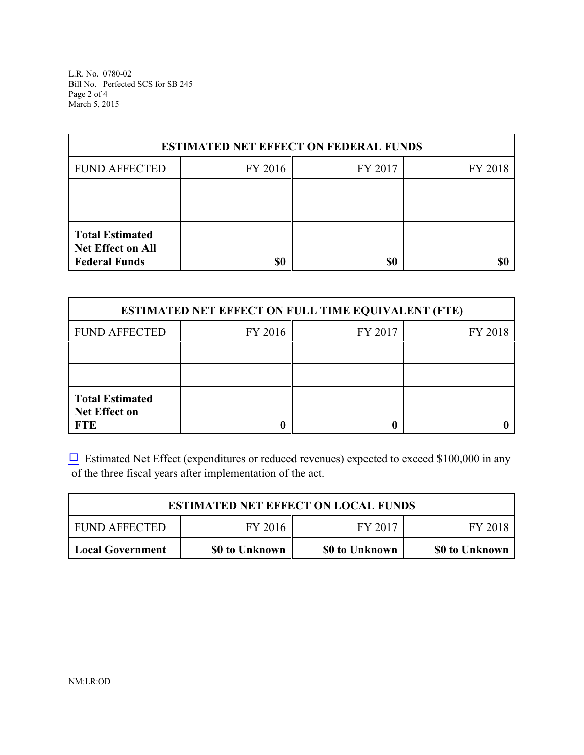L.R. No. 0780-02 Bill No. Perfected SCS for SB 245 Page 2 of 4 March 5, 2015

| <b>ESTIMATED NET EFFECT ON FEDERAL FUNDS</b>                        |         |         |         |  |
|---------------------------------------------------------------------|---------|---------|---------|--|
| <b>FUND AFFECTED</b>                                                | FY 2016 | FY 2017 | FY 2018 |  |
|                                                                     |         |         |         |  |
|                                                                     |         |         |         |  |
| <b>Total Estimated</b><br>Net Effect on All<br><b>Federal Funds</b> | \$0     | \$0     |         |  |

| <b>ESTIMATED NET EFFECT ON FULL TIME EQUIVALENT (FTE)</b>    |         |         |         |  |
|--------------------------------------------------------------|---------|---------|---------|--|
| <b>FUND AFFECTED</b>                                         | FY 2016 | FY 2017 | FY 2018 |  |
|                                                              |         |         |         |  |
|                                                              |         |         |         |  |
| <b>Total Estimated</b><br><b>Net Effect on</b><br><b>FTE</b> |         |         |         |  |

 $\Box$  Estimated Net Effect (expenditures or reduced revenues) expected to exceed \$100,000 in any of the three fiscal years after implementation of the act.

| <b>ESTIMATED NET EFFECT ON LOCAL FUNDS</b> |                |                |                |  |
|--------------------------------------------|----------------|----------------|----------------|--|
| <b>FUND AFFECTED</b>                       | FY 2016        | FY 2017        | FY 2018        |  |
| Local Government                           | \$0 to Unknown | \$0 to Unknown | \$0 to Unknown |  |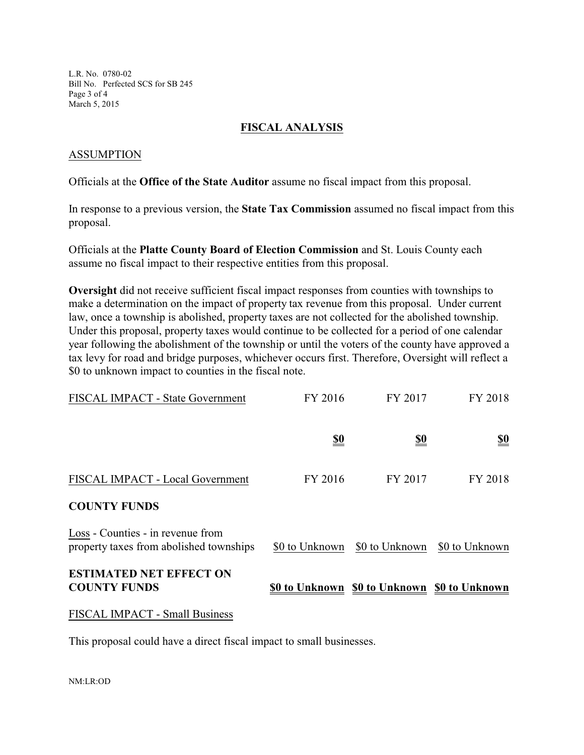L.R. No. 0780-02 Bill No. Perfected SCS for SB 245 Page 3 of 4 March 5, 2015

#### **FISCAL ANALYSIS**

#### ASSUMPTION

Officials at the **Office of the State Auditor** assume no fiscal impact from this proposal.

In response to a previous version, the **State Tax Commission** assumed no fiscal impact from this proposal.

Officials at the **Platte County Board of Election Commission** and St. Louis County each assume no fiscal impact to their respective entities from this proposal.

**Oversight** did not receive sufficient fiscal impact responses from counties with townships to make a determination on the impact of property tax revenue from this proposal. Under current law, once a township is abolished, property taxes are not collected for the abolished township. Under this proposal, property taxes would continue to be collected for a period of one calendar year following the abolishment of the township or until the voters of the county have approved a tax levy for road and bridge purposes, whichever occurs first. Therefore, Oversight will reflect a \$0 to unknown impact to counties in the fiscal note.

| <b>FISCAL IMPACT - State Government</b>                                      | FY 2016        | FY 2017        | FY 2018        |
|------------------------------------------------------------------------------|----------------|----------------|----------------|
|                                                                              | <u>\$0</u>     | <u>\$0</u>     | <u>\$0</u>     |
| FISCAL IMPACT - Local Government                                             | FY 2016        | FY 2017        | FY 2018        |
| <b>COUNTY FUNDS</b>                                                          |                |                |                |
| Loss - Counties - in revenue from<br>property taxes from abolished townships | \$0 to Unknown | \$0 to Unknown | \$0 to Unknown |
| <b>ESTIMATED NET EFFECT ON</b><br><b>COUNTY FUNDS</b>                        | \$0 to Unknown | \$0 to Unknown | \$0 to Unknown |

#### FISCAL IMPACT - Small Business

This proposal could have a direct fiscal impact to small businesses.

NM:LR:OD